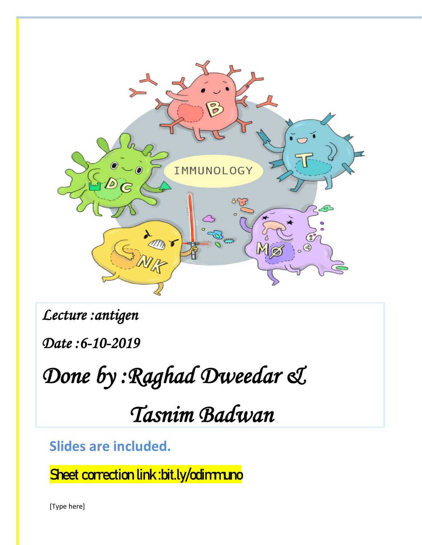

*Lecture :antigen* 

*Date :6-10-2019* 

*Done by :Raghad Dweedar &* 

 *Tasnim Badwan* 

**Slides are included.**

Sheet correction link : bit.ly/odimmuno

[Type here]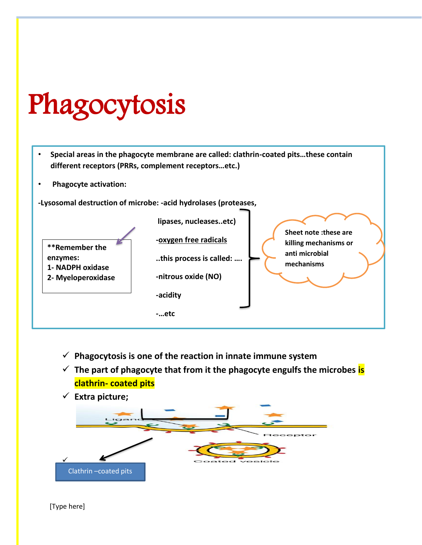## Phagocytosis

- **Special areas in the phagocyte membrane are called: clathrin-coated pits…these contain different receptors (PRRs, complement receptors…etc.)**
- **Phagocyte activation:**

**-Lysosomal destruction of microbe: -acid hydrolases (proteases,** 



- ✓ **Phagocytosis is one of the reaction in innate immune system**
- ✓ **The part of phagocyte that from it the phagocyte engulfs the microbes is clathrin- coated pits**
- ✓ **Extra picture;** ✓ Clathrin –coated pits

[Type here]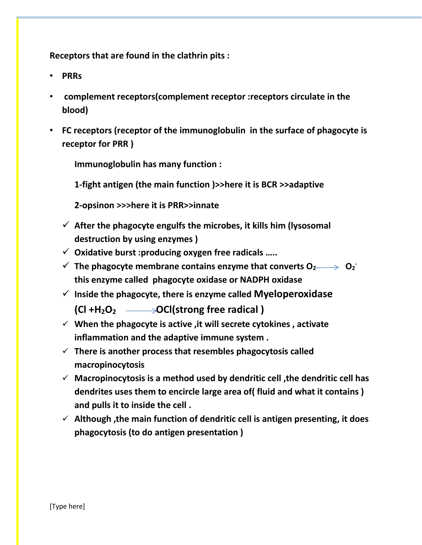**Receptors that are found in the clathrin pits :**

- **PRRs**
- **complement receptors(complement receptor :receptors circulate in the blood)**
- **FC receptors (receptor of the immunoglobulin in the surface of phagocyte is receptor for PRR )**

**Immunoglobulin has many function :**

**1-fight antigen (the main function )>>here it is BCR >>adaptive** 

**2-opsinon >>>here it is PRR>>innate** 

- ✓ **After the phagocyte engulfs the microbes, it kills him (lysosomal destruction by using enzymes )**
- ✓ **Oxidative burst :producing oxygen free radicals …..**
- ✓ **The phagocyte membrane contains enzyme that converts O2 O<sup>2</sup> this enzyme called phagocyte oxidase or NADPH oxidase**
- ✓ **Inside the phagocyte, there is enzyme called Myeloperoxidase (Cl +H2O2 OCl(strong free radical )**
- ✓ **When the phagocyte is active ,it will secrete cytokines , activate inflammation and the adaptive immune system .**
- ✓ **There is another process that resembles phagocytosis called macropinocytosis**
- ✓ **Macropinocytosis is a method used by dendritic cell ,the dendritic cell has dendrites uses them to encircle large area of( fluid and what it contains ) and pulls it to inside the cell .**
- ✓ **Although ,the main function of dendritic cell is antigen presenting, it does phagocytosis (to do antigen presentation )**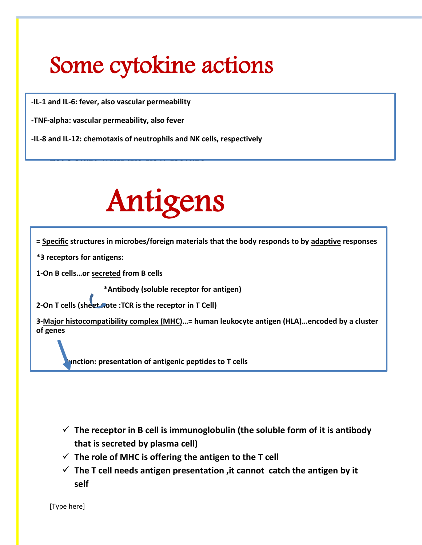## Some cytokine actions

-**IL-1 and IL-6: fever, also vascular permeability**

**-TNF-alpha: vascular permeability, also fever**

**-IL-8 and IL-12: chemotaxis of neutrophils and NK cells, respectively**

Let's start with the new lecture

# Antigens

**= Specific structures in microbes/foreign materials that the body responds to by adaptive responses**

**\*3 receptors for antigens:**

**1-On B cells…or secreted from B cells** 

 **\*Antibody (soluble receptor for antigen)**

**2-On T cells (sheet note :TCR is the receptor in T Cell)**

**3-Major histocompatibility complex (MHC)…= human leukocyte antigen (HLA)…encoded by a cluster of genes**

 **Function: presentation of antigenic peptides to T cells**

- $\checkmark$  The receptor in B cell is immunoglobulin (the soluble form of it is antibody **that is secreted by plasma cell)**
- ✓ **The role of MHC is offering the antigen to the T cell**
- $\checkmark$  The T cell needs antigen presentation , it cannot catch the antigen by it **self**

[Type here]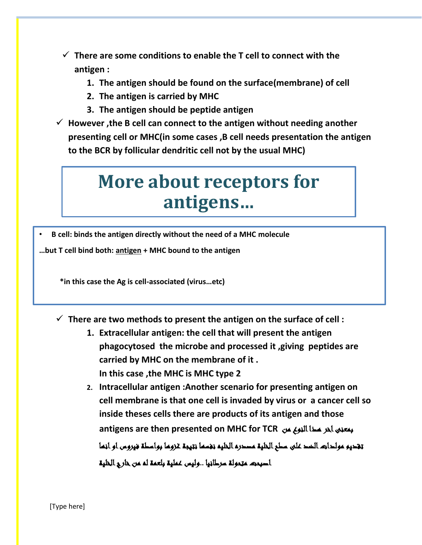- ✓ **There are some conditions to enable the T cell to connect with the antigen :**
	- **1. The antigen should be found on the surface(membrane) of cell**
	- **2. The antigen is carried by MHC**
	- **3. The antigen should be peptide antigen**
- ✓ **However ,the B cell can connect to the antigen without needing another presenting cell or MHC(in some cases ,B cell needs presentation the antigen to the BCR by follicular dendritic cell not by the usual MHC)**

## **More about receptors for antigens…**

• **B cell: binds the antigen directly without the need of a MHC molecule**

**…but T cell bind both: antigen + MHC bound to the antigen**

 **\*in this case the Ag is cell-associated (virus…etc)**

- ✓ **There are two methods to present the antigen on the surface of cell :**
	- **1. Extracellular antigen: the cell that will present the antigen phagocytosed the microbe and processed it ,giving peptides are carried by MHC on the membrane of it . In this case ,the MHC is MHC type 2**
	- **2. Intracellular antigen :Another scenario for presenting antigen on cell membrane is that one cell is invaded by virus or a cancer cell so inside theses cells there are products of its antigen and those antigens are then presented on MHC for TCR** من النوع هذا اخر بمعنى تقديم مولدات الضد على سطح الخلية مصدره الخليه نفسها نتيجة غزوها بواسطة فيروس او انها اصبحت متحولة سرطانيا ..وليس عملية بلعمة له من خارج الخلية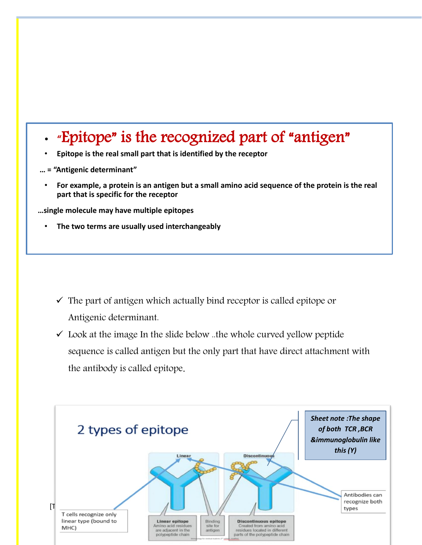### • "Epitope" is the recognized part of "antigen"

- **Epitope is the real small part that is identified by the receptor**
- **… = "Antigenic determinant"**
	- **For example, a protein is an antigen but a small amino acid sequence of the protein is the real part that is specific for the receptor**

 **…single molecule may have multiple epitopes**

• **The two terms are usually used interchangeably**

- $\checkmark$  The part of antigen which actually bind receptor is called epitope or Antigenic determinant.
- $\checkmark$  Look at the image In the slide below ..the whole curved yellow peptide sequence is called antigen but the only part that have direct attachment with the antibody is called epitope.

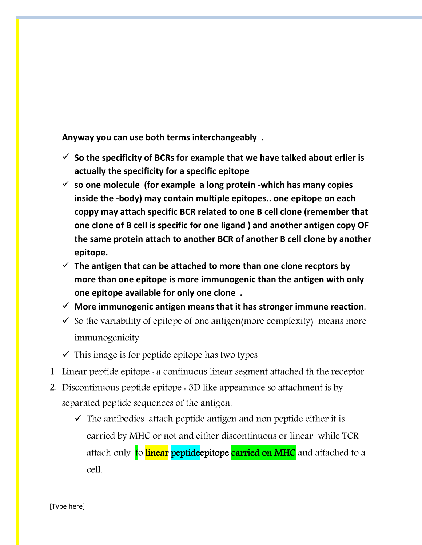**Anyway you can use both terms interchangeably .**

- ✓ **So the specificity of BCRs for example that we have talked about erlier is actually the specificity for a specific epitope**
- ✓ **so one molecule (for example a long protein -which has many copies inside the -body) may contain multiple epitopes.. one epitope on each coppy may attach specific BCR related to one B cell clone (remember that one clone of B cell is specific for one ligand ) and another antigen copy OF the same protein attach to another BCR of another B cell clone by another epitope.**
- $\checkmark$  The antigen that can be attached to more than one clone recptors by **more than one epitope is more immunogenic than the antigen with only one epitope available for only one clone .**
- ✓ **More immunogenic antigen means that it has stronger immune reaction**.
- $\checkmark$  So the variability of epitope of one antigen(more complexity) means more immunogenicity
- $\checkmark$  This image is for peptide epitope has two types
- 1. Linear peptide epitope : a continuous linear segment attached th the receptor
- 2. Discontinuous peptide epitope : 3D like appearance so attachment is by separated peptide sequences of the antigen.
	- $\checkmark$  The antibodies attach peptide antigen and non peptide either it is carried by MHC or not and either discontinuous or linear while TCR attach only to *linear* peptideepitope carried on MHC and attached to a cell.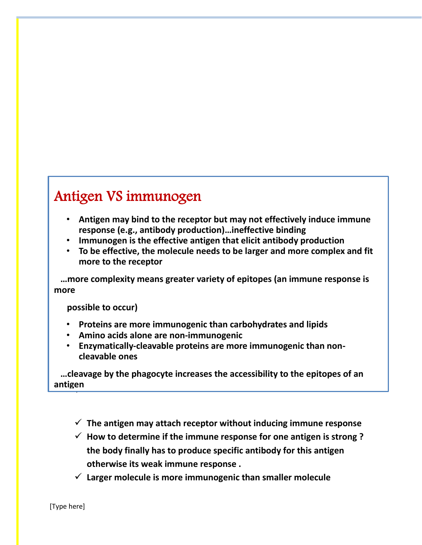#### Antigen VS immunogen

- **Antigen may bind to the receptor but may not effectively induce immune response (e.g., antibody production)…ineffective binding**
- **Immunogen is the effective antigen that elicit antibody production**
- **To be effective, the molecule needs to be larger and more complex and fit more to the receptor**

 **…more complexity means greater variety of epitopes (an immune response is more** 

 **possible to occur)**

- **Proteins are more immunogenic than carbohydrates and lipids**
- **Amino acids alone are non-immunogenic**
- **Enzymatically-cleavable proteins are more immunogenic than noncleavable ones**

✓  **…cleavage by the phagocyte increases the accessibility to the epitopes of an**   $\frac{1}{\sqrt{2}}$ **antigen**

- ✓ **The antigen may attach receptor without inducing immune response**
- ✓ **How to determine if the immune response for one antigen is strong ? the body finally has to produce specific antibody for this antigen otherwise its weak immune response .**
- ✓ **Larger molecule is more immunogenic than smaller molecule**